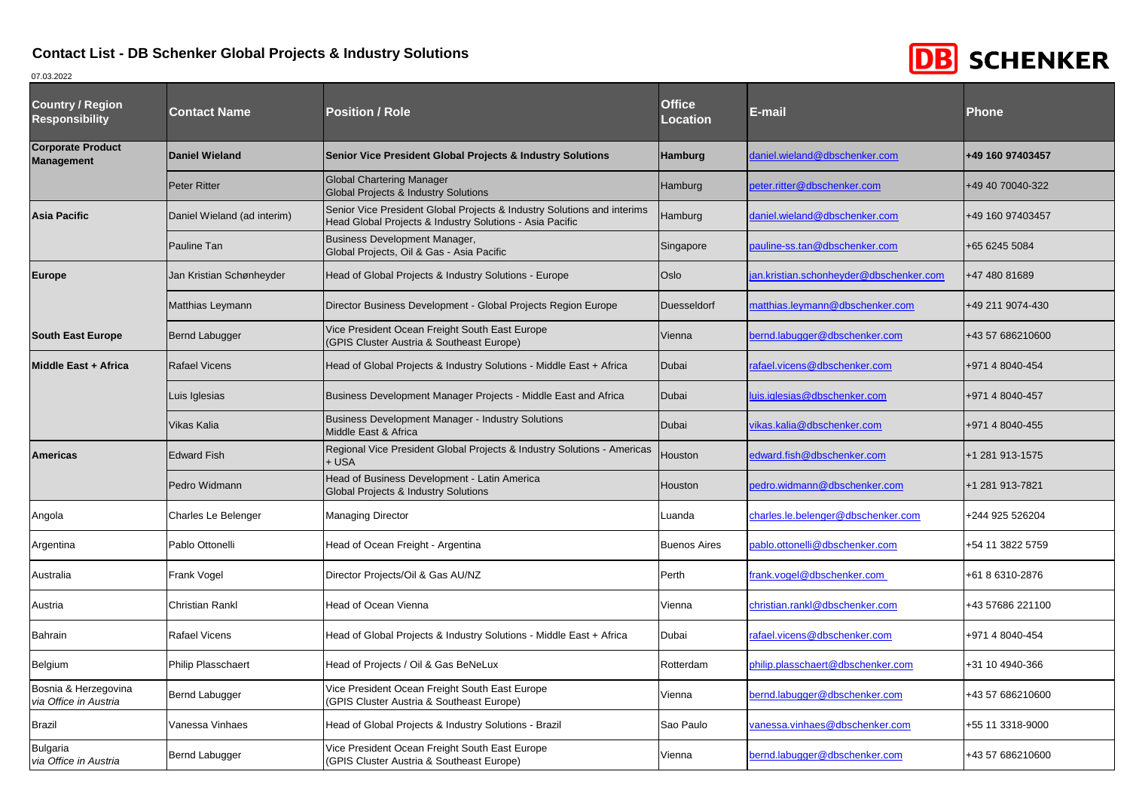

| <b>Country / Region</b><br><b>Responsibility</b> | <b>Contact Name</b>         | <b>Position / Role</b>                                                                                                              | <b>Office</b><br><b>Location</b> | E-mail                                 | <b>Phone</b>     |
|--------------------------------------------------|-----------------------------|-------------------------------------------------------------------------------------------------------------------------------------|----------------------------------|----------------------------------------|------------------|
| <b>Corporate Product</b><br><b>Management</b>    | <b>Daniel Wieland</b>       | <b>Senior Vice President Global Projects &amp; Industry Solutions</b>                                                               | <b>Hamburg</b>                   | daniel.wieland@dbschenker.com          | +49 160 97403457 |
|                                                  | <b>Peter Ritter</b>         | <b>Global Chartering Manager</b><br><b>Global Projects &amp; Industry Solutions</b>                                                 | Hamburg                          | beter.ritter@dbschenker.com            | +49 40 70040-322 |
| <b>Asia Pacific</b>                              | Daniel Wieland (ad interim) | Senior Vice President Global Projects & Industry Solutions and interims<br>Head Global Projects & Industry Solutions - Asia Pacific | Hamburg                          | daniel.wieland@dbschenker.com          | +49 160 97403457 |
|                                                  | Pauline Tan                 | <b>Business Development Manager,</b><br>Global Projects, Oil & Gas - Asia Pacific                                                   | Singapore                        | auline-ss.tan@dbschenker.com           | +65 6245 5084    |
| <b>Europe</b>                                    | Jan Kristian Schønheyder    | Head of Global Projects & Industry Solutions - Europe                                                                               | Oslo                             | an.kristian.schonheyder@dbschenker.com | +47 480 81689    |
|                                                  | Matthias Leymann            | Director Business Development - Global Projects Region Europe                                                                       | <b>Duesseldorf</b>               | matthias.leymann@dbschenker.com        | +49 211 9074-430 |
| <b>South East Europe</b>                         | Bernd Labugger              | Vice President Ocean Freight South East Europe<br><b>GPIS Cluster Austria &amp; Southeast Europe)</b>                               | Vienna                           | ernd.labugger@dbschenker.com           | +43 57 686210600 |
| Middle East + Africa                             | <b>Rafael Vicens</b>        | Head of Global Projects & Industry Solutions - Middle East + Africa                                                                 | Dubai                            | rafael.vicens@dbschenker.com           | +971 4 8040-454  |
|                                                  | Luis Iglesias               | Business Development Manager Projects - Middle East and Africa                                                                      | Dubai                            | uis.iglesias@dbschenker.com            | +971 4 8040-457  |
|                                                  | Vikas Kalia                 | <b>Business Development Manager - Industry Solutions</b><br>Middle East & Africa                                                    | Dubai                            | vikas.kalia@dbschenker.com             | +971 4 8040-455  |
| <b>Americas</b>                                  | <b>Edward Fish</b>          | Regional Vice President Global Projects & Industry Solutions - Americas<br>+ USA                                                    | Houston                          | edward.fish@dbschenker.com             | +1 281 913-1575  |
|                                                  | Pedro Widmann               | Head of Business Development - Latin America<br><b>Global Projects &amp; Industry Solutions</b>                                     | Houston                          | bedro.widmann@dbschenker.com           | +1 281 913-7821  |
| Angola                                           | Charles Le Belenger         | <b>Managing Director</b>                                                                                                            | Luanda                           | charles.le.belenger@dbschenker.com     | +244 925 526204  |
| Argentina                                        | Pablo Ottonelli             | Head of Ocean Freight - Argentina                                                                                                   | <b>Buenos Aires</b>              | pablo.ottonelli@dbschenker.com         | +54 11 3822 5759 |
| Australia                                        | Frank Vogel                 | Director Projects/Oil & Gas AU/NZ                                                                                                   | Perth                            | rank.vogel@dbschenker.com              | +61 8 6310-2876  |
| Austria                                          | Christian Rankl             | Head of Ocean Vienna                                                                                                                | Vienna                           | christian.rankl@dbschenker.com         | +43 57686 221100 |
| Bahrain                                          | Rafael Vicens               | Head of Global Projects & Industry Solutions - Middle East + Africa                                                                 | Dubai                            | afael.vicens@dbschenker.com            | +971 4 8040-454  |
| Belgium                                          | Philip Plasschaert          | lead of Projects / Oil & Gas BeNeLux                                                                                                | Rotterdam                        | philip.plasschaert@dbschenker.com      | +31 10 4940-366  |
| Bosnia & Herzegovina<br>via Office in Austria    | Bernd Labugger              | Vice President Ocean Freight South East Europe<br><b>GPIS Cluster Austria &amp; Southeast Europe)</b>                               | Vienna                           | bernd.labugger@dbschenker.com          | +43 57 686210600 |
| <b>Brazil</b>                                    | Vanessa Vinhaes             | Head of Global Projects & Industry Solutions - Brazil                                                                               | Sao Paulo                        | vanessa.vinhaes@dbschenker.com         | +55 11 3318-9000 |
| <b>Bulgaria</b><br>via Office in Austria         | Bernd Labugger              | Vice President Ocean Freight South East Europe<br>(GPIS Cluster Austria & Southeast Europe)                                         | Vienna                           | bernd.labugger@dbschenker.com          | +43 57 686210600 |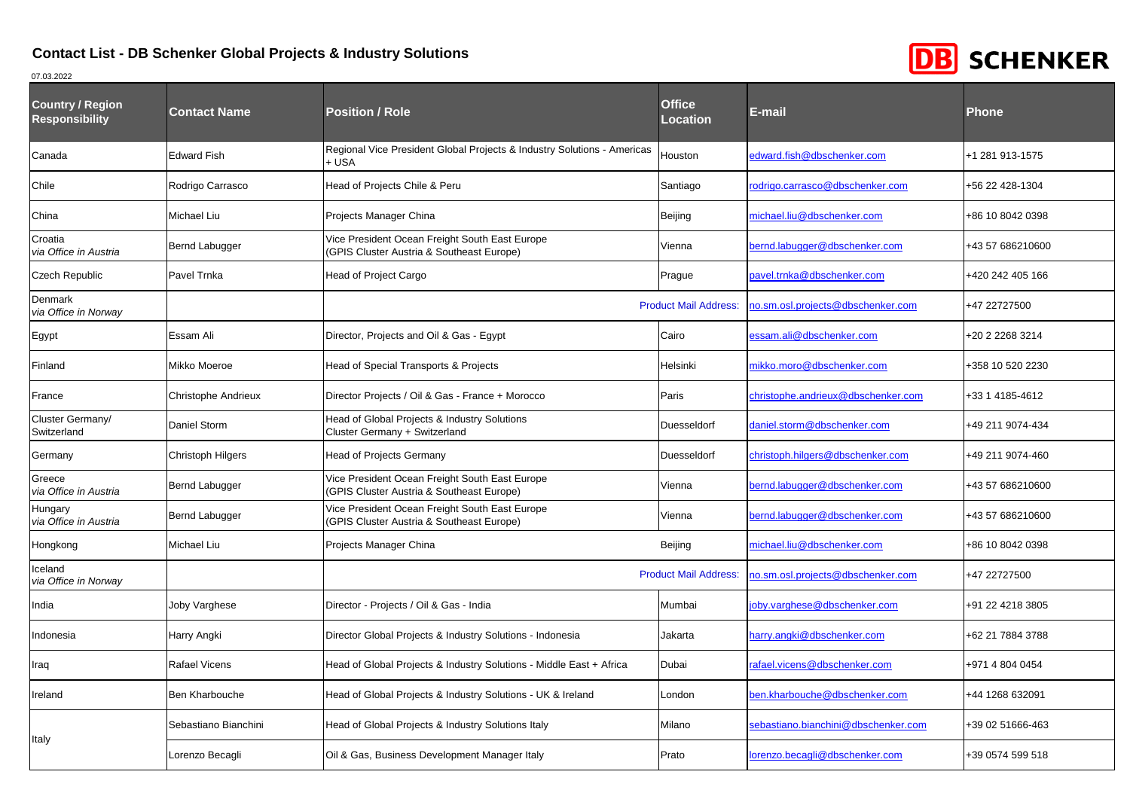

| <b>Country / Region</b><br><b>Responsibility</b> | <b>Contact Name</b>      | <b>Position / Role</b>                                                                      | <b>Office</b><br>Location | E-mail                              | <b>Phone</b>     |
|--------------------------------------------------|--------------------------|---------------------------------------------------------------------------------------------|---------------------------|-------------------------------------|------------------|
| Canada                                           | <b>Edward Fish</b>       | Regional Vice President Global Projects & Industry Solutions - Americas<br>+ USA            | Houston                   | edward.fish@dbschenker.com          | +1 281 913-1575  |
| Chile                                            | Rodrigo Carrasco         | Head of Projects Chile & Peru                                                               | Santiago                  | rodrigo.carrasco@dbschenker.com     | +56 22 428-1304  |
| China                                            | Michael Liu              | Projects Manager China                                                                      | Beijing                   | michael.liu@dbschenker.com          | +86 10 8042 0398 |
| Croatia<br>via Office in Austria                 | Bernd Labugger           | Vice President Ocean Freight South East Europe<br>(GPIS Cluster Austria & Southeast Europe) | Vienna                    | bernd.labugger@dbschenker.com       | +43 57 686210600 |
| Czech Republic                                   | Pavel Trnka              | Head of Project Cargo                                                                       | Prague                    | bavel.trnka@dbschenker.com          | +420 242 405 166 |
| Denmark<br>via Office in Norway                  |                          | <b>Product Mail Address:</b>                                                                |                           | no.sm.osl.projects@dbschenker.com   | +47 22727500     |
| Egypt                                            | Essam Ali                | Director, Projects and Oil & Gas - Egypt                                                    | Cairo                     | essam.ali@dbschenker.com            | +20 2 2268 3214  |
| Finland                                          | Mikko Moeroe             | Head of Special Transports & Projects                                                       | Helsinki                  | mikko.moro@dbschenker.com           | +358 10 520 2230 |
| France                                           | Christophe Andrieux      | Director Projects / Oil & Gas - France + Morocco                                            | Paris                     | christophe.andrieux@dbschenker.com  | +33 1 4185-4612  |
| Cluster Germany/<br>Switzerland                  | Daniel Storm             | Head of Global Projects & Industry Solutions<br>Cluster Germany + Switzerland               | Duesseldorf               | daniel.storm@dbschenker.com         | +49 211 9074-434 |
| Germany                                          | <b>Christoph Hilgers</b> | <b>Head of Projects Germany</b>                                                             | Duesseldorf               | christoph.hilgers@dbschenker.com    | +49 211 9074-460 |
| Greece<br>via Office in Austria                  | Bernd Labugger           | Vice President Ocean Freight South East Europe<br>GPIS Cluster Austria & Southeast Europe)  | Vienna                    | bernd.labugger@dbschenker.com       | +43 57 686210600 |
| Hungary<br>via Office in Austria                 | Bernd Labugger           | Vice President Ocean Freight South East Europe<br>(GPIS Cluster Austria & Southeast Europe) | Vienna                    | bernd.labugger@dbschenker.com       | +43 57 686210600 |
| Hongkong                                         | Michael Liu              | Projects Manager China<br>Beijing                                                           |                           | michael.liu@dbschenker.com          | +86 10 8042 0398 |
| celand<br>via Office in Norway                   |                          | <b>Product Mail Address:</b>                                                                |                           | no.sm.osl.projects@dbschenker.com   | +47 22727500     |
| ndia                                             | Joby Varghese            | Director - Projects / Oil & Gas - India                                                     | Mumbai                    | joby.varghese@dbschenker.com        | +91 22 4218 3805 |
| ndonesia                                         | Harry Angki              | Director Global Projects & Industry Solutions - Indonesia                                   | Jakarta                   | narry.angki@dbschenker.com          | +62 21 7884 3788 |
| raq                                              | <b>Rafael Vicens</b>     | Head of Global Projects & Industry Solutions - Middle East + Africa                         | Dubai                     | rafael.vicens@dbschenker.com        | +971 4 804 0454  |
| reland                                           | Ben Kharbouche           | Head of Global Projects & Industry Solutions - UK & Ireland                                 | London                    | ben.kharbouche@dbschenker.com       | +44 1268 632091  |
| taly                                             | Sebastiano Bianchini     | Head of Global Projects & Industry Solutions Italy                                          | Milano                    | sebastiano.bianchini@dbschenker.com | +39 02 51666-463 |
|                                                  | Lorenzo Becagli          | Oil & Gas, Business Development Manager Italy                                               | Prato                     | lorenzo.becagli@dbschenker.com      | +39 0574 599 518 |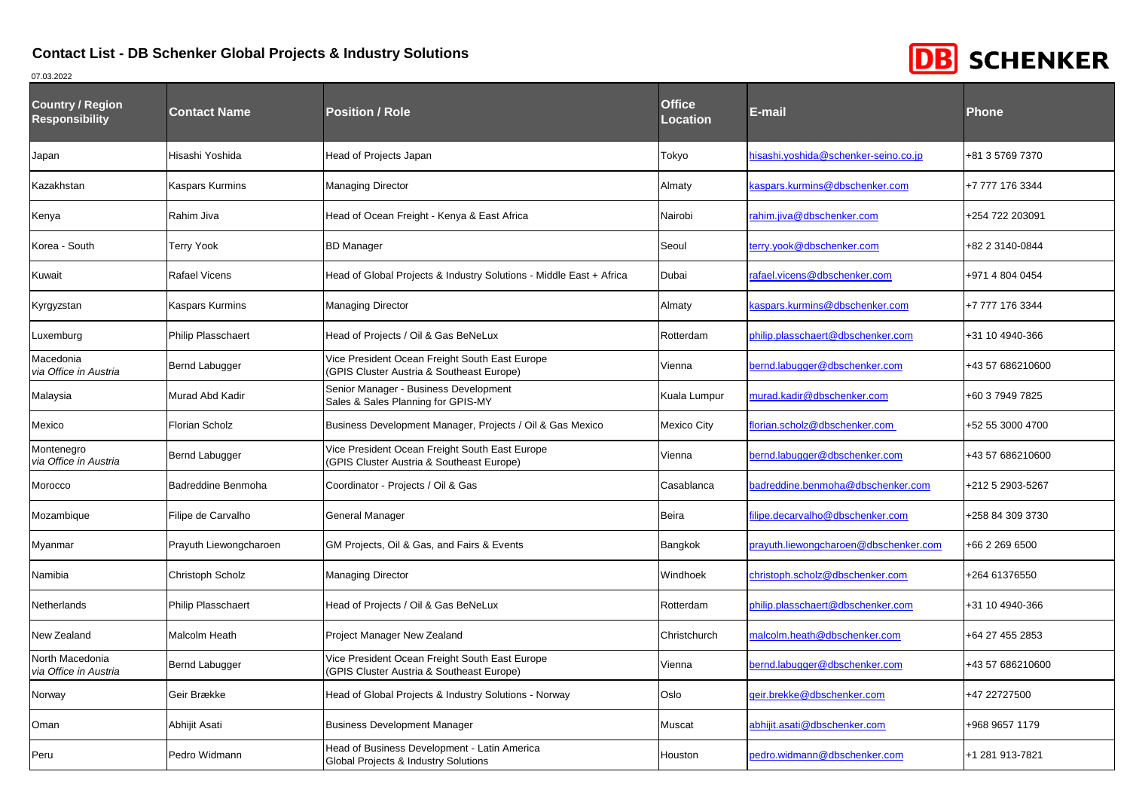

| <b>Country / Region</b><br><b>Responsibility</b> | <b>Contact Name</b>       | <b>Position / Role</b>                                                                                | <b>Office</b><br>Location | E-mail                                | <b>Phone</b>     |
|--------------------------------------------------|---------------------------|-------------------------------------------------------------------------------------------------------|---------------------------|---------------------------------------|------------------|
| Japan                                            | Hisashi Yoshida           | Head of Projects Japan                                                                                | Tokyo                     | hisashi.yoshida@schenker-seino.co.jp  | +81 3 5769 7370  |
| <b>Kazakhstan</b>                                | <b>Kaspars Kurmins</b>    | Managing Director                                                                                     | Almaty                    | kaspars.kurmins@dbschenker.com        | +7 777 176 3344  |
| Kenya                                            | Rahim Jiva                | Head of Ocean Freight - Kenya & East Africa                                                           | Nairobi                   | rahim.jiva@dbschenker.com             | +254 722 203091  |
| Korea - South                                    | <b>Terry Yook</b>         | BD Manager                                                                                            | Seoul                     | erry.yook@dbschenker.com              | +82 2 3140-0844  |
| Kuwait                                           | <b>Rafael Vicens</b>      | Head of Global Projects & Industry Solutions - Middle East + Africa                                   | Dubai                     | afael.vicens@dbschenker.com           | +971 4 804 0454  |
| Kyrgyzstan                                       | <b>Kaspars Kurmins</b>    | Managing Director                                                                                     | Almaty                    | kaspars.kurmins@dbschenker.com        | +7 777 176 3344  |
| Luxemburg                                        | Philip Plasschaert        | Head of Projects / Oil & Gas BeNeLux                                                                  | Rotterdam                 | ohilip.plasschaert@dbschenker.com     | +31 10 4940-366  |
| Macedonia<br>via Office in Austria               | Bernd Labugger            | Vice President Ocean Freight South East Europe<br><b>GPIS Cluster Austria &amp; Southeast Europe)</b> | Vienna                    | bernd.labugger@dbschenker.com         | +43 57 686210600 |
| Malaysia                                         | Murad Abd Kadir           | Senior Manager - Business Development<br>Sales & Sales Planning for GPIS-MY                           | Kuala Lumpur              | nurad.kadir@dbschenker.com            | +60 3 7949 7825  |
| Mexico                                           | <b>Florian Scholz</b>     | Business Development Manager, Projects / Oil & Gas Mexico                                             | Mexico City               | florian.scholz@dbschenker.com         | +52 55 3000 4700 |
| Montenegro<br>via Office in Austria              | Bernd Labugger            | Vice President Ocean Freight South East Europe<br>(GPIS Cluster Austria & Southeast Europe)           | Vienna                    | bernd.labugger@dbschenker.com         | +43 57 686210600 |
| Morocco                                          | Badreddine Benmoha        | Coordinator - Projects / Oil & Gas                                                                    | Casablanca                | badreddine.benmoha@dbschenker.com     | +212 5 2903-5267 |
| Mozambique                                       | Filipe de Carvalho        | General Manager                                                                                       | Beira                     | filipe.decarvalho@dbschenker.com      | +258 84 309 3730 |
| Myanmar                                          | Prayuth Liewongcharoen    | GM Projects, Oil & Gas, and Fairs & Events                                                            | Bangkok                   | oravuth.liewongcharoen@dbschenker.com | +66 2 269 6500   |
| Namibia                                          | Christoph Scholz          | Managing Director                                                                                     | Windhoek                  | christoph.scholz@dbschenker.com       | +264 61376550    |
| Netherlands                                      | <b>Philip Plasschaert</b> | Head of Projects / Oil & Gas BeNeLux                                                                  | Rotterdam                 | ohilip.plasschaert@dbschenker.com     | +31 10 4940-366  |
| New Zealand                                      | <b>Malcolm Heath</b>      | Project Manager New Zealand                                                                           | Christchurch              | malcolm.heath@dbschenker.com          | +64 27 455 2853  |
| North Macedonia<br>via Office in Austria         | Bernd Labugger            | Vice President Ocean Freight South East Europe<br>(GPIS Cluster Austria & Southeast Europe)           | Vienna                    | bernd.labugger@dbschenker.com         | +43 57 686210600 |
| Norway                                           | Geir Brække               | Head of Global Projects & Industry Solutions - Norway                                                 | Oslo                      | geir.brekke@dbschenker.com            | +47 22727500     |
| Oman                                             | Abhijit Asati             | <b>Business Development Manager</b>                                                                   | Muscat                    | abhijit.asati@dbschenker.com          | +968 9657 1179   |
| Peru                                             | Pedro Widmann             | Head of Business Development - Latin America<br>Global Projects & Industry Solutions                  | Houston                   | pedro.widmann@dbschenker.com          | +1 281 913-7821  |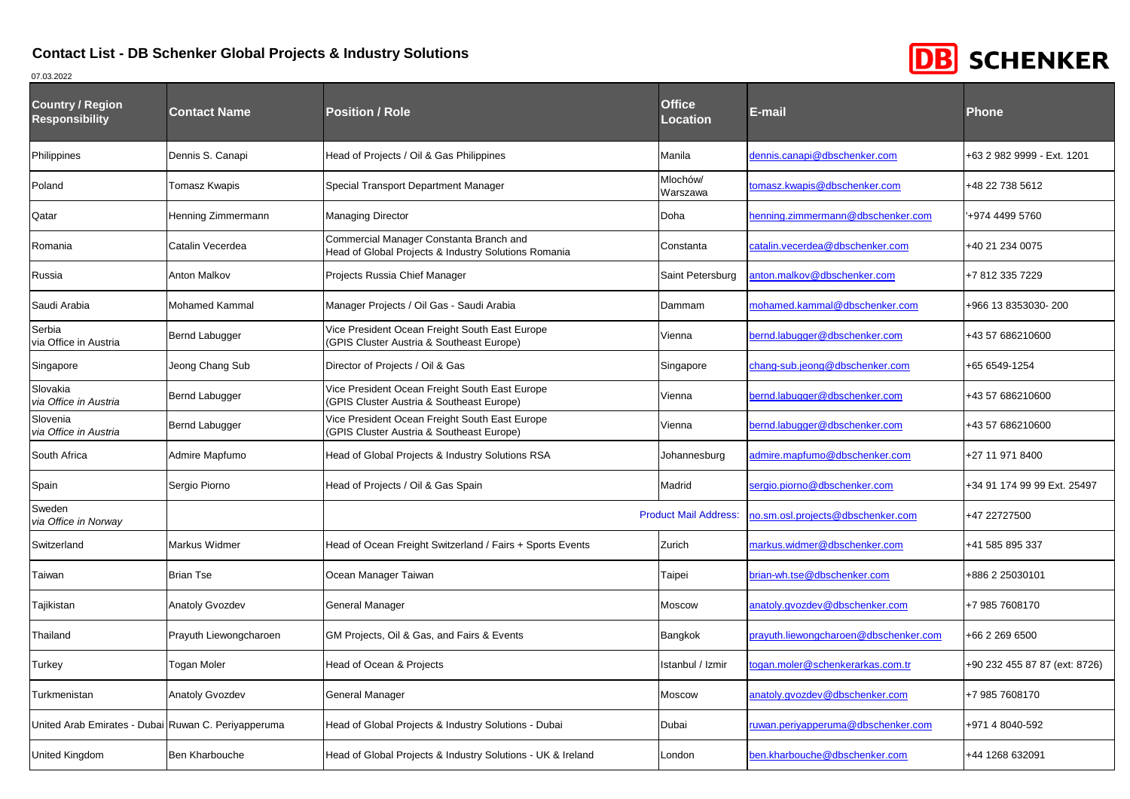

| <b>Country / Region</b><br><b>Responsibility</b>    | <b>Contact Name</b>    | <b>Position / Role</b>                                                                                | <b>Office</b><br>Location    | E-mail                                | <b>Phone</b>                  |
|-----------------------------------------------------|------------------------|-------------------------------------------------------------------------------------------------------|------------------------------|---------------------------------------|-------------------------------|
| Philippines                                         | Dennis S. Canapi       | Head of Projects / Oil & Gas Philippines                                                              | Manila                       | dennis.canapi@dbschenker.com          | +63 2 982 9999 - Ext. 1201    |
| Poland                                              | Tomasz Kwapis          | Special Transport Department Manager                                                                  | Mlochów/<br>Warszawa         | tomasz.kwapis@dbschenker.com          | +48 22 738 5612               |
| Qatar                                               | Henning Zimmermann     | Managing Director                                                                                     | Doha                         | henning.zimmermann@dbschenker.com     | +974 4499 5760                |
| Romania                                             | Catalin Vecerdea       | Commercial Manager Constanta Branch and<br>Head of Global Projects & Industry Solutions Romania       | Constanta                    | catalin.vecerdea@dbschenker.com       | +40 21 234 0075               |
| Russia                                              | Anton Malkov           | Projects Russia Chief Manager                                                                         | Saint Petersburg             | anton.malkov@dbschenker.com           | +7 812 335 7229               |
| Saudi Arabia                                        | <b>Mohamed Kammal</b>  | Manager Projects / Oil Gas - Saudi Arabia                                                             | Dammam                       | mohamed.kammal@dbschenker.com         | +966 13 8353030-200           |
| Serbia<br>via Office in Austria                     | <b>Bernd Labugger</b>  | Vice President Ocean Freight South East Europe<br>(GPIS Cluster Austria & Southeast Europe)           | Vienna                       | bernd.labugger@dbschenker.com         | +43 57 686210600              |
| Singapore                                           | Jeong Chang Sub        | Director of Projects / Oil & Gas                                                                      | Singapore                    | chang-sub.jeong@dbschenker.com        | +65 6549-1254                 |
| Slovakia<br>via Office in Austria                   | Bernd Labugger         | Vice President Ocean Freight South East Europe<br><b>GPIS Cluster Austria &amp; Southeast Europe)</b> | Vienna                       | bernd.labugger@dbschenker.com         | +43 57 686210600              |
| Slovenia<br>via Office in Austria                   | <b>Bernd Labugger</b>  | Vice President Ocean Freight South East Europe<br>(GPIS Cluster Austria & Southeast Europe)           | Vienna                       | bernd.labugger@dbschenker.com         | +43 57 686210600              |
| South Africa                                        | Admire Mapfumo         | Head of Global Projects & Industry Solutions RSA                                                      | Johannesburg                 | admire.mapfumo@dbschenker.com         | +27 11 971 8400               |
| Spain                                               | Sergio Piorno          | Head of Projects / Oil & Gas Spain                                                                    | Madrid                       | sergio.piorno@dbschenker.com          | +34 91 174 99 99 Ext. 25497   |
| Sweden<br>via Office in Norway                      |                        |                                                                                                       | <b>Product Mail Address:</b> | no.sm.osl.projects@dbschenker.com     | +47 22727500                  |
| Switzerland                                         | Markus Widmer          | Head of Ocean Freight Switzerland / Fairs + Sports Events                                             | Zurich                       | markus.widmer@dbschenker.com          | +41 585 895 337               |
| Taiwan                                              | <b>Brian Tse</b>       | Ocean Manager Taiwan                                                                                  | Taipei                       | brian-wh.tse@dbschenker.com           | +886 2 25030101               |
| Tajikistan                                          | <b>Anatoly Gvozdev</b> | General Manager                                                                                       | Moscow                       | anatoly.gvozdev@dbschenker.com        | +7 985 7608170                |
| Thailand                                            | Prayuth Liewongcharoen | GM Projects, Oil & Gas, and Fairs & Events                                                            | Bangkok                      | prayuth.liewongcharoen@dbschenker.com | +66 2 269 6500                |
| Turkey                                              | Togan Moler            | Head of Ocean & Projects                                                                              | Istanbul / Izmir             | togan.moler@schenkerarkas.com.tr      | +90 232 455 87 87 (ext: 8726) |
| Turkmenistan                                        | <b>Anatoly Gvozdev</b> | General Manager                                                                                       | Moscow                       | anatoly.gvozdev@dbschenker.com        | +7 985 7608170                |
| Jnited Arab Emirates - Dubai Ruwan C. Periyapperuma |                        | Head of Global Projects & Industry Solutions - Dubai                                                  | Dubai                        | ruwan.periyapperuma@dbschenker.com    | +971 4 8040-592               |
| United Kingdom                                      | Ben Kharbouche         | Head of Global Projects & Industry Solutions - UK & Ireland                                           | London                       | ben.kharbouche@dbschenker.com         | +44 1268 632091               |